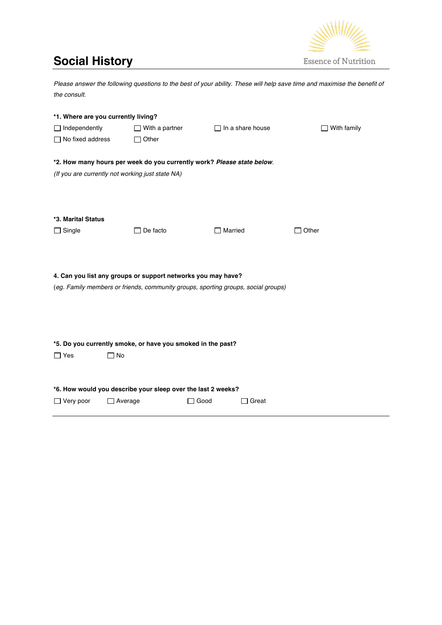## **Social History**



| Please answer the following questions to the best of your ability. These will help save time and maximise the benefit of |                                                              |                                                                                   |                    |  |  |  |  |  |  |  |  |  |
|--------------------------------------------------------------------------------------------------------------------------|--------------------------------------------------------------|-----------------------------------------------------------------------------------|--------------------|--|--|--|--|--|--|--|--|--|
| the consult.                                                                                                             |                                                              |                                                                                   |                    |  |  |  |  |  |  |  |  |  |
|                                                                                                                          |                                                              |                                                                                   |                    |  |  |  |  |  |  |  |  |  |
| *1. Where are you currently living?                                                                                      |                                                              |                                                                                   |                    |  |  |  |  |  |  |  |  |  |
| $\Box$ Independently                                                                                                     | $\Box$ With a partner                                        | $\Box$ In a share house                                                           | $\Box$ With family |  |  |  |  |  |  |  |  |  |
| $\Box$ No fixed address                                                                                                  | $\Box$ Other                                                 |                                                                                   |                    |  |  |  |  |  |  |  |  |  |
| *2. How many hours per week do you currently work? Please state below.                                                   |                                                              |                                                                                   |                    |  |  |  |  |  |  |  |  |  |
| (If you are currently not working just state NA)                                                                         |                                                              |                                                                                   |                    |  |  |  |  |  |  |  |  |  |
|                                                                                                                          |                                                              |                                                                                   |                    |  |  |  |  |  |  |  |  |  |
|                                                                                                                          |                                                              |                                                                                   |                    |  |  |  |  |  |  |  |  |  |
|                                                                                                                          |                                                              |                                                                                   |                    |  |  |  |  |  |  |  |  |  |
| *3. Marital Status                                                                                                       |                                                              |                                                                                   |                    |  |  |  |  |  |  |  |  |  |
| $\Box$ Single                                                                                                            | $\Box$ De facto                                              | $\Box$ Married                                                                    | $\Box$ Other       |  |  |  |  |  |  |  |  |  |
|                                                                                                                          |                                                              |                                                                                   |                    |  |  |  |  |  |  |  |  |  |
|                                                                                                                          |                                                              |                                                                                   |                    |  |  |  |  |  |  |  |  |  |
|                                                                                                                          |                                                              |                                                                                   |                    |  |  |  |  |  |  |  |  |  |
|                                                                                                                          | 4. Can you list any groups or support networks you may have? |                                                                                   |                    |  |  |  |  |  |  |  |  |  |
|                                                                                                                          |                                                              | (eg. Family members or friends, community groups, sporting groups, social groups) |                    |  |  |  |  |  |  |  |  |  |
|                                                                                                                          |                                                              |                                                                                   |                    |  |  |  |  |  |  |  |  |  |
|                                                                                                                          |                                                              |                                                                                   |                    |  |  |  |  |  |  |  |  |  |
|                                                                                                                          |                                                              |                                                                                   |                    |  |  |  |  |  |  |  |  |  |
|                                                                                                                          | *5. Do you currently smoke, or have you smoked in the past?  |                                                                                   |                    |  |  |  |  |  |  |  |  |  |
| $\Box$ Yes                                                                                                               | $\square$ No                                                 |                                                                                   |                    |  |  |  |  |  |  |  |  |  |
|                                                                                                                          |                                                              |                                                                                   |                    |  |  |  |  |  |  |  |  |  |
|                                                                                                                          |                                                              |                                                                                   |                    |  |  |  |  |  |  |  |  |  |
|                                                                                                                          | *6. How would you describe your sleep over the last 2 weeks? |                                                                                   |                    |  |  |  |  |  |  |  |  |  |
| $\Box$ Very poor                                                                                                         | $\Box$ Average                                               | $\Box$ Good<br>$\Box$ Great                                                       |                    |  |  |  |  |  |  |  |  |  |
|                                                                                                                          |                                                              |                                                                                   |                    |  |  |  |  |  |  |  |  |  |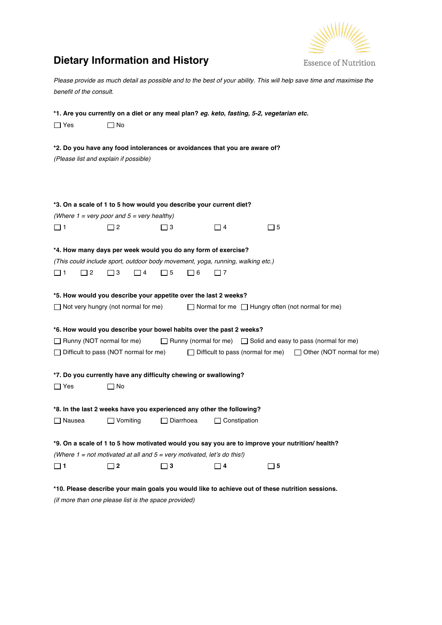

## **Dietary Information and History**

*Please provide as much detail as possible and to the best of your ability. This will help save time and maximise the benefit of the consult.*

| *1. Are you currently on a diet or any meal plan? eg. keto, fasting, 5-2, vegetarian etc.                                                                                     |          |                 |                                              |                  |          |                                                                                |  |             |  |                                                                            |  |  |
|-------------------------------------------------------------------------------------------------------------------------------------------------------------------------------|----------|-----------------|----------------------------------------------|------------------|----------|--------------------------------------------------------------------------------|--|-------------|--|----------------------------------------------------------------------------|--|--|
| $\Box$ Yes                                                                                                                                                                    |          | $\Box$ No       |                                              |                  |          |                                                                                |  |             |  |                                                                            |  |  |
| *2. Do you have any food intolerances or avoidances that you are aware of?<br>(Please list and explain if possible)                                                           |          |                 |                                              |                  |          |                                                                                |  |             |  |                                                                            |  |  |
| *3. On a scale of 1 to 5 how would you describe your current diet?                                                                                                            |          |                 |                                              |                  |          |                                                                                |  |             |  |                                                                            |  |  |
| (Where $1 = \text{very poor}$ and $5 = \text{very}$ healthy)                                                                                                                  |          |                 |                                              |                  |          |                                                                                |  |             |  |                                                                            |  |  |
| □ 1                                                                                                                                                                           |          | $\Box$ 2        |                                              | $\Box$ 3         |          | $\Box$ 4                                                                       |  | $\square$ 5 |  |                                                                            |  |  |
|                                                                                                                                                                               |          |                 |                                              |                  |          |                                                                                |  |             |  |                                                                            |  |  |
|                                                                                                                                                                               |          |                 |                                              |                  |          | *4. How many days per week would you do any form of exercise?                  |  |             |  |                                                                            |  |  |
|                                                                                                                                                                               |          |                 |                                              |                  |          | (This could include sport, outdoor body movement, yoga, running, walking etc.) |  |             |  |                                                                            |  |  |
| □ 1                                                                                                                                                                           | $\Box$ 2 | $\Box$ 3        | $\Box$ 4                                     | $\Box$ 5         | $\Box$ 6 | $\Box$ 7                                                                       |  |             |  |                                                                            |  |  |
| *5. How would you describe your appetite over the last 2 weeks?<br>$\Box$ Not very hungry (not normal for me)<br>$\Box$ Normal for me $\Box$ Hungry often (not normal for me) |          |                 |                                              |                  |          |                                                                                |  |             |  |                                                                            |  |  |
| *6. How would you describe your bowel habits over the past 2 weeks?                                                                                                           |          |                 |                                              |                  |          |                                                                                |  |             |  |                                                                            |  |  |
| $\Box$ Runny (NOT normal for me)                                                                                                                                              |          |                 |                                              |                  |          |                                                                                |  |             |  | $\Box$ Runny (normal for me) $\Box$ Solid and easy to pass (normal for me) |  |  |
|                                                                                                                                                                               |          |                 | $\Box$ Difficult to pass (NOT normal for me) |                  |          | $\Box$ Difficult to pass (normal for me)                                       |  |             |  | $\Box$ Other (NOT normal for me)                                           |  |  |
|                                                                                                                                                                               |          |                 |                                              |                  |          |                                                                                |  |             |  |                                                                            |  |  |
|                                                                                                                                                                               |          |                 |                                              |                  |          | *7. Do you currently have any difficulty chewing or swallowing?                |  |             |  |                                                                            |  |  |
| $\Box$ Yes                                                                                                                                                                    |          | $\square$ No    |                                              |                  |          |                                                                                |  |             |  |                                                                            |  |  |
|                                                                                                                                                                               |          |                 |                                              |                  |          |                                                                                |  |             |  |                                                                            |  |  |
|                                                                                                                                                                               |          |                 |                                              |                  |          | *8. In the last 2 weeks have you experienced any other the following?          |  |             |  |                                                                            |  |  |
| $\Box$ Nausea                                                                                                                                                                 |          | $\Box$ Vomiting |                                              | $\Box$ Diarrhoea |          | $\Box$ Constipation                                                            |  |             |  |                                                                            |  |  |
|                                                                                                                                                                               |          |                 |                                              |                  |          |                                                                                |  |             |  |                                                                            |  |  |
| *9. On a scale of 1 to 5 how motivated would you say you are to improve your nutrition/ health?                                                                               |          |                 |                                              |                  |          |                                                                                |  |             |  |                                                                            |  |  |
| (Where $1 = not motivated at all and 5 = very motivated, let's do this!)$                                                                                                     |          |                 |                                              |                  |          |                                                                                |  |             |  |                                                                            |  |  |
| $\square$ 1                                                                                                                                                                   |          | $\Box$ 2        |                                              | $\square$ 3      |          | $\Box$ 4                                                                       |  | $\square$ 5 |  |                                                                            |  |  |
|                                                                                                                                                                               |          |                 |                                              |                  |          |                                                                                |  |             |  |                                                                            |  |  |
| *10. Please describe your main goals you would like to achieve out of these nutrition sessions.                                                                               |          |                 |                                              |                  |          |                                                                                |  |             |  |                                                                            |  |  |

*(if more than one please list is the space provided)*